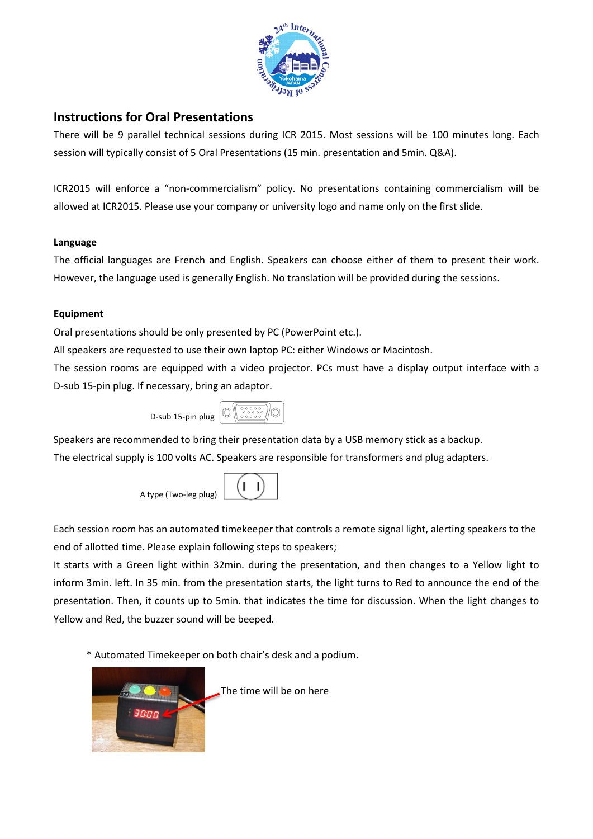

# **Instructions for Oral Presentations**

There will be 9 parallel technical sessions during ICR 2015. Most sessions will be 100 minutes long. Each session will typically consist of 5 Oral Presentations (15 min. presentation and 5min. Q&A).

ICR2015 will enforce a "non-commercialism" policy. No presentations containing commercialism will be allowed at ICR2015. Please use your company or university logo and name only on the first slide.

# **Language**

The official languages are French and English. Speakers can choose either of them to present their work. However, the language used is generally English. No translation will be provided during the sessions.

# **Equipment**

Oral presentations should be only presented by PC (PowerPoint etc.).

All speakers are requested to use their own laptop PC: either Windows or Macintosh.

The session rooms are equipped with a video projector. PCs must have a display output interface with a D-sub 15-pin plug. If necessary, bring an adaptor.



Speakers are recommended to bring their presentation data by a USB memory stick as a backup. The electrical supply is 100 volts AC. Speakers are responsible for transformers and plug adapters.



Each session room has an automated timekeeper that controls a remote signal light, alerting speakers to the end of allotted time. Please explain following steps to speakers;

It starts with a Green light within 32min. during the presentation, and then changes to a Yellow light to inform 3min. left. In 35 min. from the presentation starts, the light turns to Red to announce the end of the presentation. Then, it counts up to 5min. that indicates the time for discussion. When the light changes to Yellow and Red, the buzzer sound will be beeped.

\* Automated Timekeeper on both chair's desk and a podium.



The time will be on here